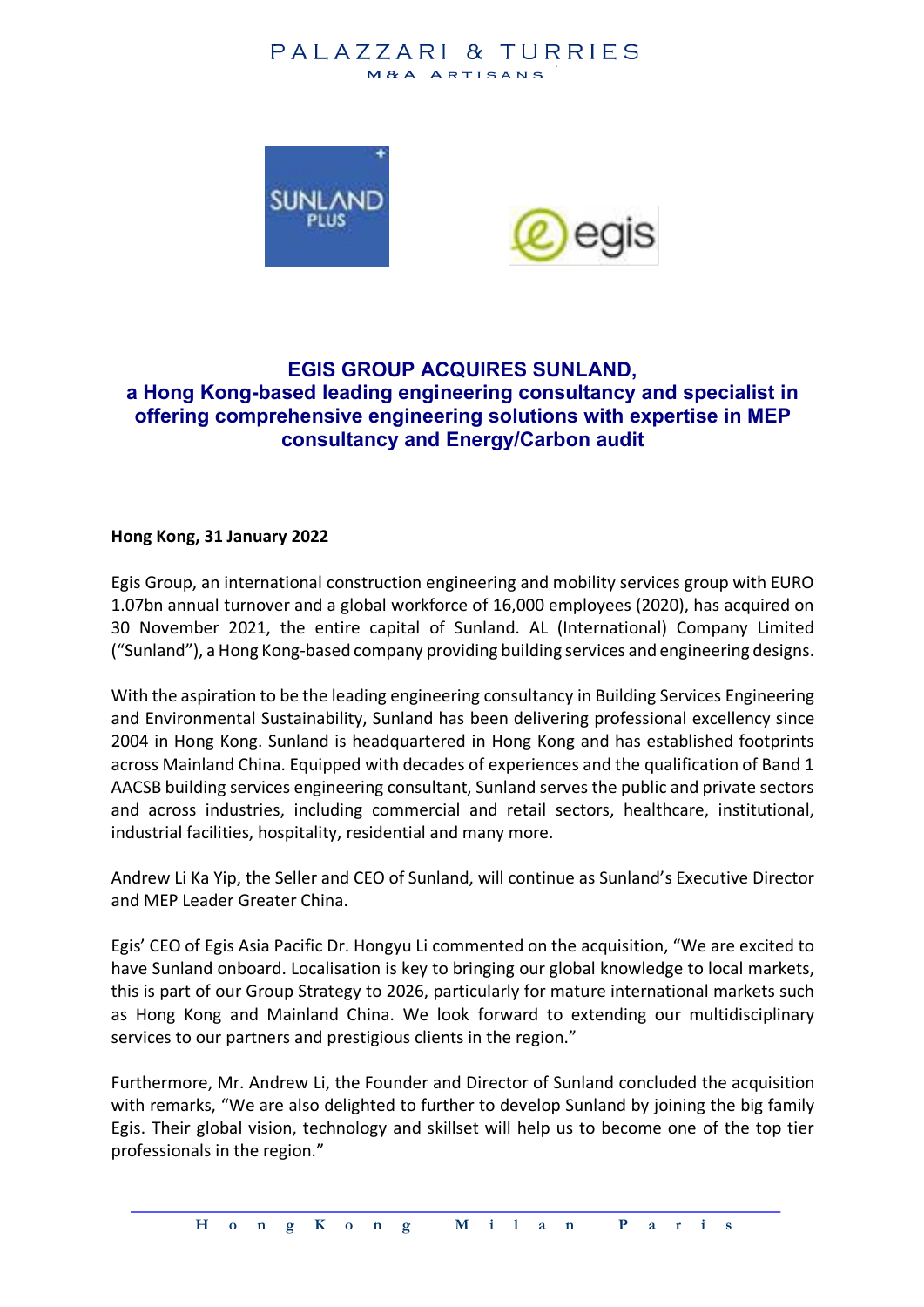## PALAZZARI & TURRIES M&A ARTISANS



# **EGIS GROUP ACQUIRES SUNLAND, a Hong Kong-based leading engineering consultancy and specialist in offering comprehensive engineering solutions with expertise in MEP consultancy and Energy/Carbon audit**

#### **Hong Kong, 31 January 2022**

Egis Group, an international construction engineering and mobility services group with EURO 1.07bn annual turnover and a global workforce of 16,000 employees (2020), has acquired on 30 November 2021, the entire capital of Sunland. AL (International) Company Limited ("Sunland"), a Hong Kong-based company providing building services and engineering designs.

With the aspiration to be the leading engineering consultancy in Building Services Engineering and Environmental Sustainability, Sunland has been delivering professional excellency since 2004 in Hong Kong. Sunland is headquartered in Hong Kong and has established footprints across Mainland China. Equipped with decades of experiences and the qualification of Band 1 AACSB building services engineering consultant, Sunland serves the public and private sectors and across industries, including commercial and retail sectors, healthcare, institutional, industrial facilities, hospitality, residential and many more.

Andrew Li Ka Yip, the Seller and CEO of Sunland, will continue as Sunland's Executive Director and MEP Leader Greater China.

Egis' CEO of Egis Asia Pacific Dr. Hongyu Li commented on the acquisition, "We are excited to have Sunland onboard. Localisation is key to bringing our global knowledge to local markets, this is part of our Group Strategy to 2026, particularly for mature international markets such as Hong Kong and Mainland China. We look forward to extending our multidisciplinary services to our partners and prestigious clients in the region."

Furthermore, Mr. Andrew Li, the Founder and Director of Sunland concluded the acquisition with remarks, "We are also delighted to further to develop Sunland by joining the big family Egis. Their global vision, technology and skillset will help us to become one of the top tier professionals in the region."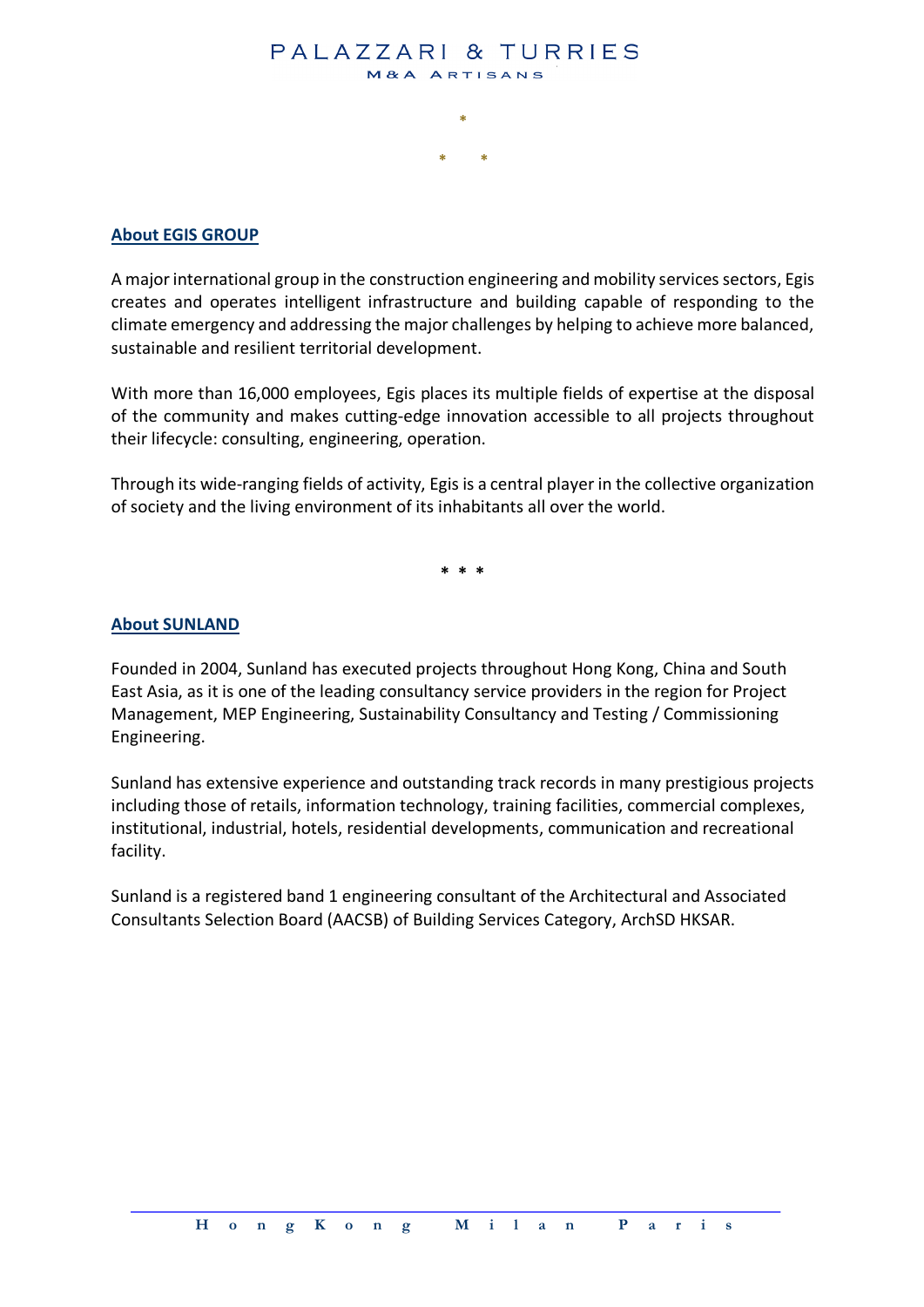#### PALAZZARI & TURRIES M&A ARTISANS

**\***

**\* \***

#### **About EGIS GROUP**

A major international group in the construction engineering and mobility services sectors, Egis creates and operates intelligent infrastructure and building capable of responding to the climate emergency and addressing the major challenges by helping to achieve more balanced, sustainable and resilient territorial development.

With more than 16,000 employees, Egis places its multiple fields of expertise at the disposal of the community and makes cutting-edge innovation accessible to all projects throughout their lifecycle: consulting, engineering, operation.

Through its wide-ranging fields of activity, Egis is a central player in the collective organization of society and the living environment of its inhabitants all over the world.

**\* \* \***

#### **About SUNLAND**

Founded in 2004, Sunland has executed projects throughout Hong Kong, China and South East Asia, as it is one of the leading consultancy service providers in the region for Project Management, MEP Engineering, Sustainability Consultancy and Testing / Commissioning Engineering.

Sunland has extensive experience and outstanding track records in many prestigious projects including those of retails, information technology, training facilities, commercial complexes, institutional, industrial, hotels, residential developments, communication and recreational facility.

Sunland is a registered band 1 engineering consultant of the Architectural and Associated Consultants Selection Board (AACSB) of Building Services Category, ArchSD HKSAR.